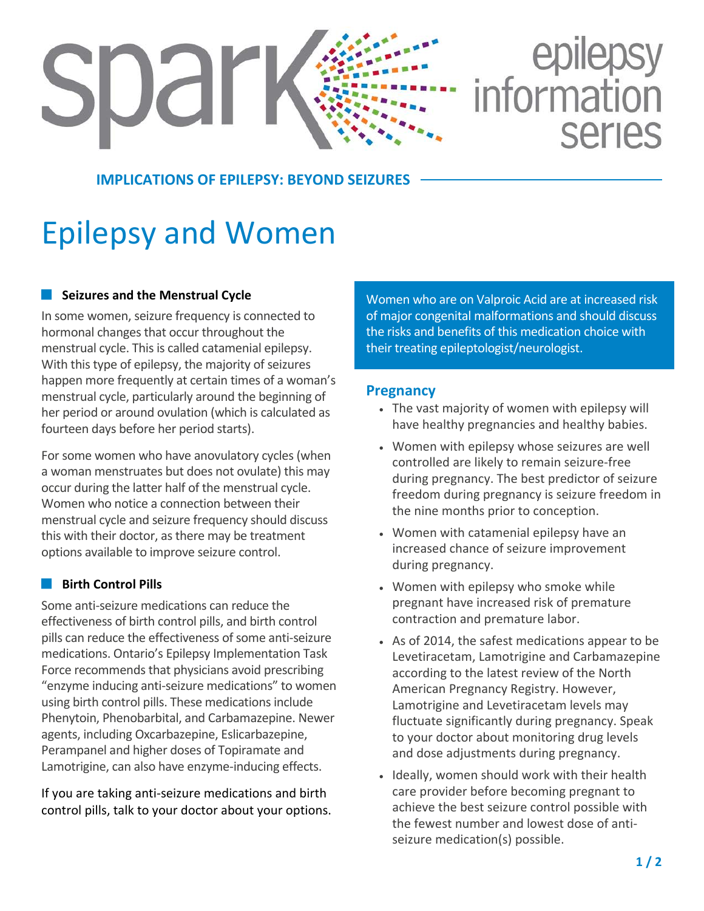# epilepsy<br>information SUdr **Series**

#### **IMPLICATIONS OF EPILEPSY: BEYOND SEIZURES**

## Epilepsy and Women

#### **Seizures and the Menstrual Cycle**

In some women, seizure frequency is connected to hormonal changes that occur throughout the menstrual cycle. This is called catamenial epilepsy. With this type of epilepsy, the majority of seizures happen more frequently at certain times of a woman's menstrual cycle, particularly around the beginning of her period or around ovulation (which is calculated as fourteen days before her period starts).

For some women who have anovulatory cycles(when a woman menstruates but does not ovulate) this may occur during the latter half of the menstrual cycle. Women who notice a connection between their menstrual cycle and seizure frequency should discuss this with their doctor, as there may be treatment options available to improve seizure control.

#### **Birth Control Pills**

Some anti-seizure medications can reduce the effectiveness of birth control pills, and birth control pills can reduce the effectiveness of some anti-seizure medications. Ontario's Epilepsy Implementation Task Force recommends that physicians avoid prescribing "enzyme inducing anti-seizure medications" to women using birth control pills. These medications include Phenytoin, Phenobarbital, and Carbamazepine. Newer agents, including Oxcarbazepine, Eslicarbazepine, Perampanel and higher doses of Topiramate and Lamotrigine, can also have enzyme-inducing effects.

If you are taking anti-seizure medications and birth control pills, talk to your doctor about your options. Women who are on Valproic Acid are at increased risk of major congenital malformations and should discuss the risks and benefits of this medication choice with their treating epileptologist/neurologist.

#### **Pregnancy**

- The vast majority of women with epilepsy will have healthy pregnancies and healthy babies.
- Women with epilepsy whose seizures are well controlled are likely to remain seizure-free during pregnancy. The best predictor of seizure freedom during pregnancy is seizure freedom in the nine months prior to conception.
- Women with catamenial epilepsy have an increased chance of seizure improvement during pregnancy.
- Women with epilepsy who smoke while pregnant have increased risk of premature contraction and premature labor.
- As of 2014, the safest medications appear to be Levetiracetam, Lamotrigine and Carbamazepine according to the latest review of the North American Pregnancy Registry. However, Lamotrigine and Levetiracetam levels may fluctuate significantly during pregnancy. Speak to your doctor about monitoring drug levels and dose adjustments during pregnancy.
- Ideally, women should work with their health care provider before becoming pregnant to achieve the best seizure control possible with the fewest number and lowest dose of antiseizure medication(s) possible.